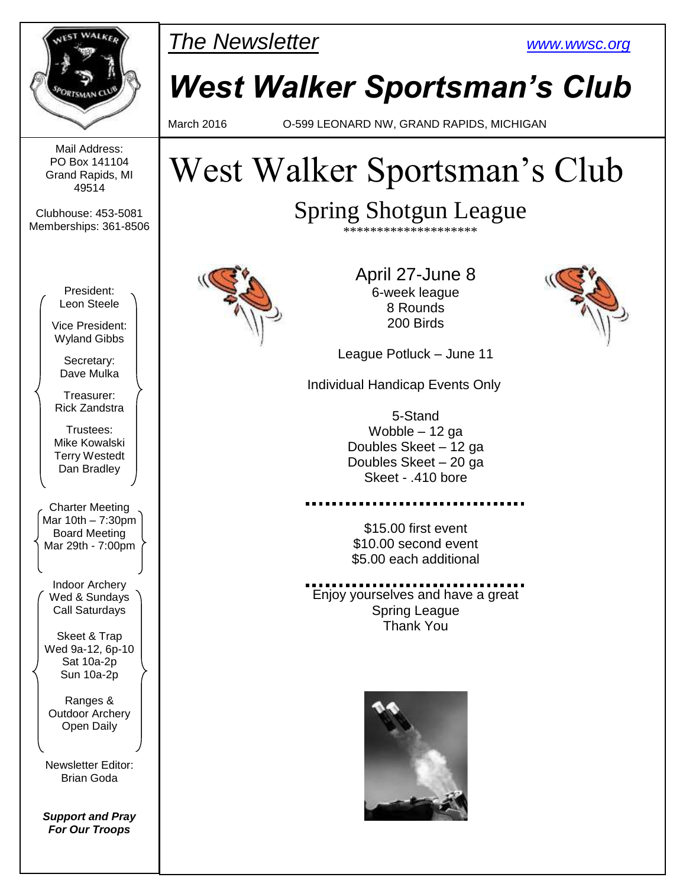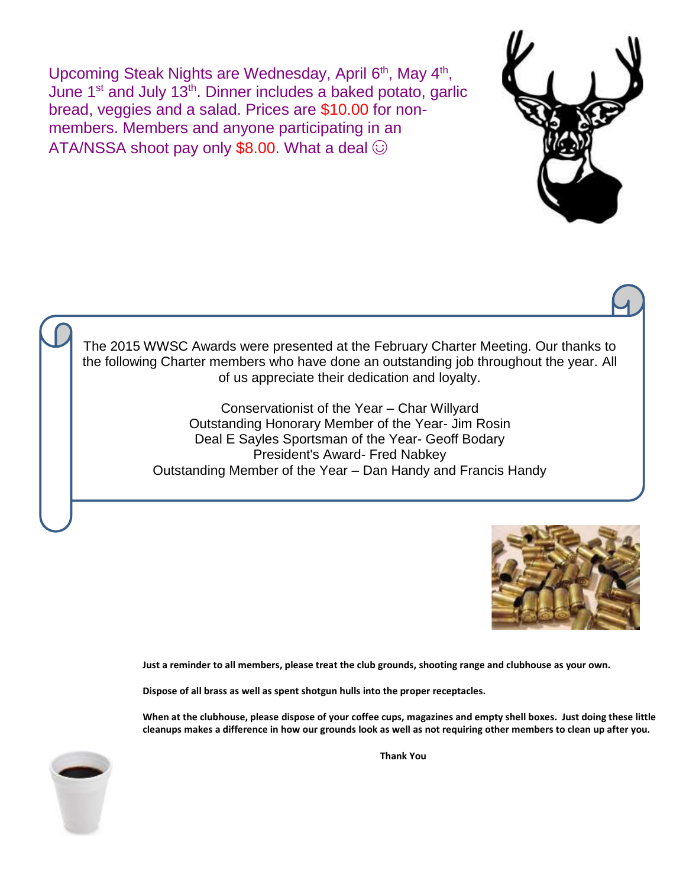Upcoming Steak Nights are Wednesday, April 6<sup>th</sup>, May 4<sup>th</sup>, June 1<sup>st</sup> and July 13<sup>th</sup>. Dinner includes a baked potato, garlic bread, veggies and a salad. Prices are \$10.00 for nonmembers. Members and anyone participating in an ATA/NSSA shoot pay only \$8.00. What a deal  $\odot$ 



The 2015 WWSC Awards were presented at the February Charter Meeting. Our thanks to the following Charter members who have done an outstanding job throughout the year. All of us appreciate their dedication and loyalty.

> Conservationist of the Year – Char Willyard Outstanding Honorary Member of the Year- Jim Rosin Deal E Sayles Sportsman of the Year- Geoff Bodary President's Award- Fred Nabkey Outstanding Member of the Year – Dan Handy and Francis Handy



**Just a reminder to all members, please treat the club grounds, shooting range and clubhouse as your own.**

**Dispose of all brass as well as spent shotgun hulls into the proper receptacles.**

**When at the clubhouse, please dispose of your coffee cups, magazines and empty shell boxes. Just doing these little cleanups makes a difference in how our grounds look as well as not requiring other members to clean up after you.**

**Thank You**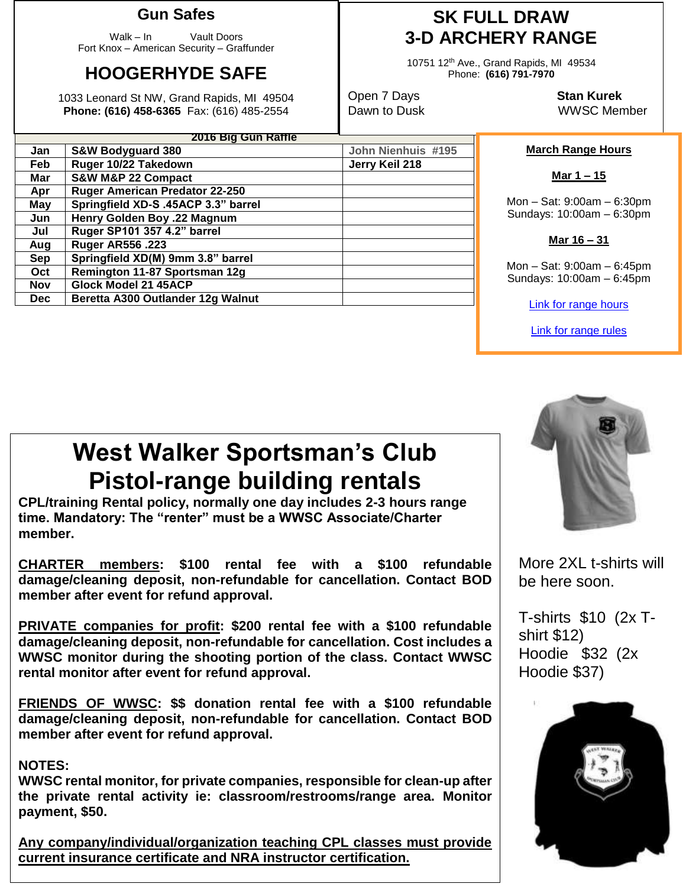### **Gun Safes**

Walk – In Vault Doors Fort Knox – American Security – Graffunder

## **HOOGERHYDE SAFE**

1033 Leonard St NW, Grand Rapids, MI 49504 **Phone: (616) 458-6365** Fax: (616) 485-2554

Mar | S&W M&P 22 Compact

**Aug Ruger AR556 .223**

**Nov Glock Model 21 45ACP**

**Apr Ruger American Predator 22-250 May Springfield XD-S .45ACP 3.3" barrel Jun Henry Golden Boy .22 Magnum Jul Ruger SP101 357 4.2" barrel**

**Sep Springfield XD(M) 9mm 3.8" barrel Oct Remington 11-87 Sportsman 12g**

**Dec** | Beretta A300 Outlander 12g Walnut

**2016 Big Gun Raffle Jan S&W Bodyguard 380 John Nienhuis #195 Feb Ruger 10/22 Takedown Jerry Keil 218**

## **SK FULL DRAW 3-D ARCHERY RANGE**

10751 12th Ave., Grand Rapids, MI 49534 Phone: **(616) 791-7970**

Open 7 Days **Stan Kurek**

Dawn to Dusk WWSC Member

#### **March Range Hours**

**Mar 1 – 15**

Mon – Sat: 9:00am – 6:30pm Sundays: 10:00am – 6:30pm

**Mar 16 – 31**

Mon – Sat: 9:00am – 6:45pm Sundays: 10:00am – 6:45pm

[Link for range hours](http://www.wwsc.org/range-hours.shtml)

[Link for range rules](http://www.wwsc.org/img/ranges/RangeRules.pdf)

# **West Walker Sportsman's Club Pistol-range building rentals**

**CPL/training Rental policy, normally one day includes 2-3 hours range time. Mandatory: The "renter" must be a WWSC Associate/Charter member.**

**CHARTER members: \$100 rental fee with a \$100 refundable damage/cleaning deposit, non-refundable for cancellation. Contact BOD member after event for refund approval.**

**PRIVATE companies for profit: \$200 rental fee with a \$100 refundable damage/cleaning deposit, non-refundable for cancellation. Cost includes a WWSC monitor during the shooting portion of the class. Contact WWSC rental monitor after event for refund approval.**

**FRIENDS OF WWSC: \$\$ donation rental fee with a \$100 refundable damage/cleaning deposit, non-refundable for cancellation. Contact BOD member after event for refund approval.**

#### **NOTES:**

**WWSC rental monitor, for private companies, responsible for clean-up after the private rental activity ie: classroom/restrooms/range area. Monitor payment, \$50.**

**Any company/individual/organization teaching CPL classes must provide current insurance certificate and NRA instructor certification.**



More 2XL t-shirts will be here soon.

T-shirts \$10 (2x Tshirt \$12) Hoodie \$32 (2x Hoodie \$37)